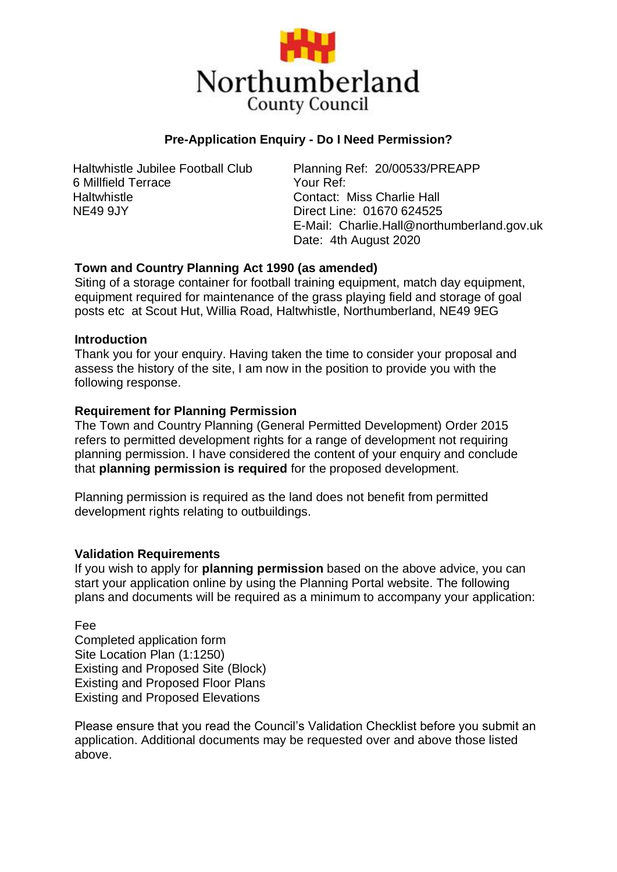

# **Pre-Application Enquiry - Do I Need Permission?**

Haltwhistle Jubilee Football Club 6 Millfield Terrace **Haltwhistle** NE49 9JY

Planning Ref: 20/00533/PREAPP Your Ref: Contact: Miss Charlie Hall Direct Line: 01670 624525 E-Mail: Charlie.Hall@northumberland.gov.uk Date: 4th August 2020

## **Town and Country Planning Act 1990 (as amended)**

Siting of a storage container for football training equipment, match day equipment, equipment required for maintenance of the grass playing field and storage of goal posts etc at Scout Hut, Willia Road, Haltwhistle, Northumberland, NE49 9EG

### **Introduction**

Thank you for your enquiry. Having taken the time to consider your proposal and assess the history of the site, I am now in the position to provide you with the following response.

### **Requirement for Planning Permission**

The Town and Country Planning (General Permitted Development) Order 2015 refers to permitted development rights for a range of development not requiring planning permission. I have considered the content of your enquiry and conclude that **planning permission is required** for the proposed development.

Planning permission is required as the land does not benefit from permitted development rights relating to outbuildings.

### **Validation Requirements**

If you wish to apply for **planning permission** based on the above advice, you can start your application online by using the Planning Portal website. The following plans and documents will be required as a minimum to accompany your application:

Fee

Completed application form Site Location Plan (1:1250) Existing and Proposed Site (Block) Existing and Proposed Floor Plans Existing and Proposed Elevations

Please ensure that you read the Council's Validation Checklist before you submit an application. Additional documents may be requested over and above those listed above.